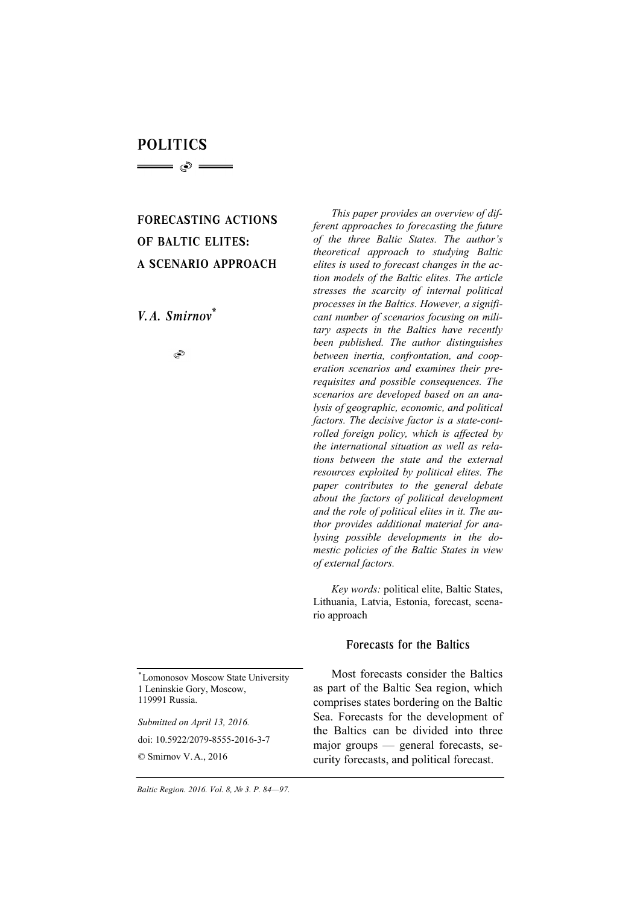# POLITICS

= 0 ==

# FORECASTING ACTIONS OF BALTIC ELITES: A SCENARIO APPROACH

*V. A. Smirnov\**

S

*\**Lomonosov Moscow State University 1 Leninskie Gory, Moscow, 119991 Russia.

*Submitted on April 13, 2016.*  doi: 10.5922/2079-8555-2016-3-7 © Smirnov V.A., 2016

*This paper provides an overview of different approaches to forecasting the future of the three Baltic States. The author's theoretical approach to studying Baltic elites is used to forecast changes in the action models of the Baltic elites. The article stresses the scarcity of internal political processes in the Baltics. However, a significant number of scenarios focusing on military aspects in the Baltics have recently been published. The author distinguishes between inertia, confrontation, and cooperation scenarios and examines their prerequisites and possible consequences. The scenarios are developed based on an analysis of geographic, economic, and political factors. The decisive factor is a state-controlled foreign policy, which is affected by the international situation as well as relations between the state and the external resources exploited by political elites. The paper contributes to the general debate about the factors of political development and the role of political elites in it. The author provides additional material for analysing possible developments in the domestic policies of the Baltic States in view of external factors.* 

*Key words:* political elite, Baltic States, Lithuania, Latvia, Estonia, forecast, scenario approach

### Forecasts for the Baltics

Most forecasts consider the Baltics as part of the Baltic Sea region, which comprises states bordering on the Baltic Sea. Forecasts for the development of the Baltics can be divided into three major groups — general forecasts, security forecasts, and political forecast.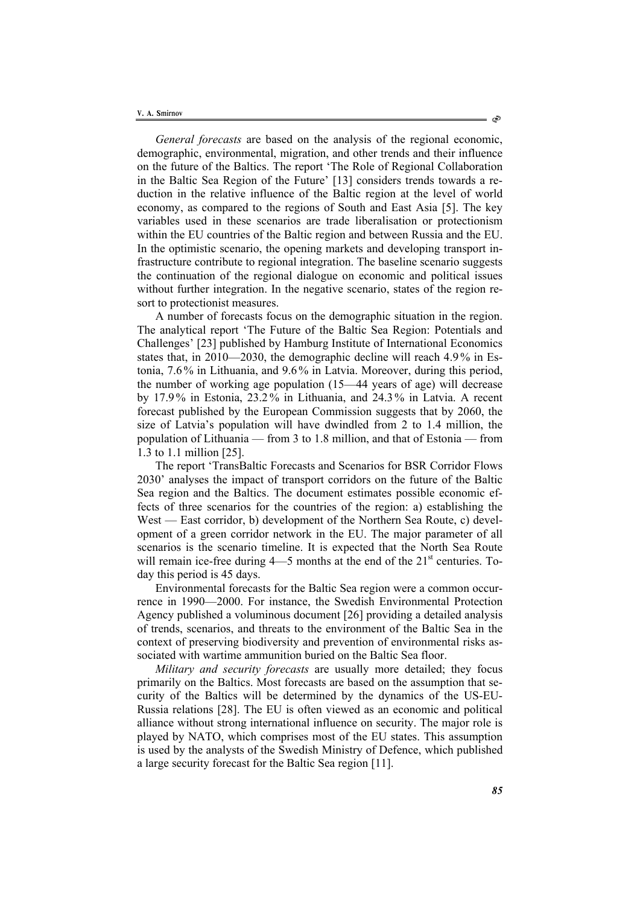*General forecasts* are based on the analysis of the regional economic, demographic, environmental, migration, and other trends and their influence on the future of the Baltics. The report 'The Role of Regional Collaboration in the Baltic Sea Region of the Future' [13] considers trends towards a reduction in the relative influence of the Baltic region at the level of world economy, as compared to the regions of South and East Asia [5]. The key variables used in these scenarios are trade liberalisation or protectionism within the EU countries of the Baltic region and between Russia and the EU. In the optimistic scenario, the opening markets and developing transport infrastructure contribute to regional integration. The baseline scenario suggests the continuation of the regional dialogue on economic and political issues without further integration. In the negative scenario, states of the region resort to protectionist measures.

A number of forecasts focus on the demographic situation in the region. The analytical report 'The Future of the Baltic Sea Region: Potentials and Challenges' [23] published by Hamburg Institute of International Economics states that, in 2010—2030, the demographic decline will reach 4.9 % in Estonia, 7.6% in Lithuania, and 9.6% in Latvia. Moreover, during this period, the number of working age population (15—44 years of age) will decrease by 17.9 % in Estonia, 23.2 % in Lithuania, and 24.3% in Latvia. A recent forecast published by the European Commission suggests that by 2060, the size of Latvia's population will have dwindled from 2 to 1.4 million, the population of Lithuania — from 3 to 1.8 million, and that of Estonia — from 1.3 to 1.1 million [25].

The report 'TransBaltic Forecasts and Scenarios for BSR Corridor Flows 2030' analyses the impact of transport corridors on the future of the Baltic Sea region and the Baltics. The document estimates possible economic effects of three scenarios for the countries of the region: a) establishing the West — East corridor, b) development of the Northern Sea Route, c) development of a green corridor network in the EU. The major parameter of all scenarios is the scenario timeline. It is expected that the North Sea Route will remain ice-free during  $4$ —5 months at the end of the  $21<sup>st</sup>$  centuries. Today this period is 45 days.

Environmental forecasts for the Baltic Sea region were a common occurrence in 1990—2000. For instance, the Swedish Environmental Protection Agency published a voluminous document [26] providing a detailed analysis of trends, scenarios, and threats to the environment of the Baltic Sea in the context of preserving biodiversity and prevention of environmental risks associated with wartime ammunition buried on the Baltic Sea floor.

*Military and security forecasts* are usually more detailed; they focus primarily on the Baltics. Most forecasts are based on the assumption that security of the Baltics will be determined by the dynamics of the US-EU-Russia relations [28]. The EU is often viewed as an economic and political alliance without strong international influence on security. The major role is played by NATO, which comprises most of the EU states. This assumption is used by the analysts of the Swedish Ministry of Defence, which published a large security forecast for the Baltic Sea region [11].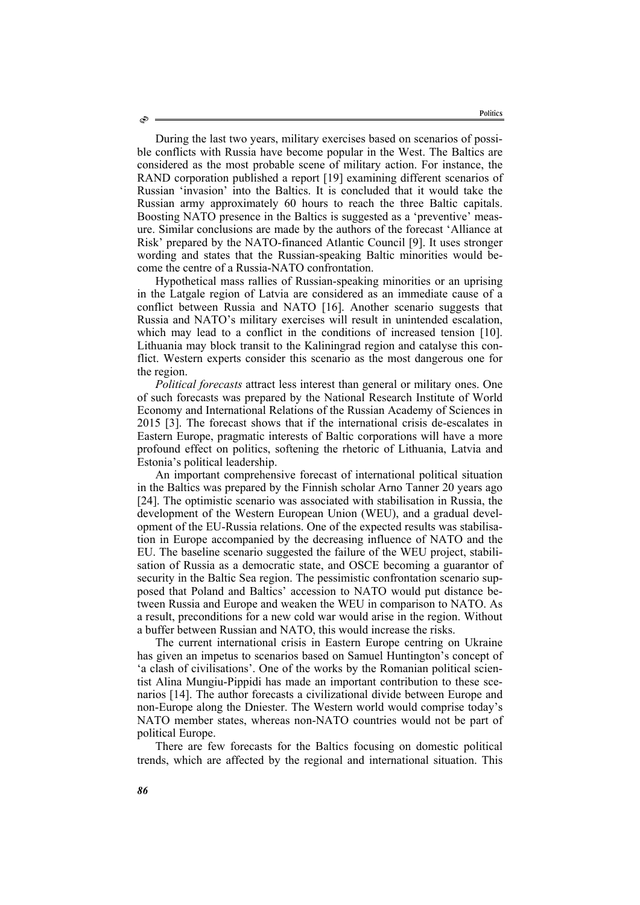During the last two years, military exercises based on scenarios of possible conflicts with Russia have become popular in the West. The Baltics are considered as the most probable scene of military action. For instance, the RAND corporation published a report [19] examining different scenarios of Russian 'invasion' into the Baltics. It is concluded that it would take the Russian army approximately 60 hours to reach the three Baltic capitals. Boosting NATO presence in the Baltics is suggested as a 'preventive' measure. Similar conclusions are made by the authors of the forecast 'Alliance at Risk' prepared by the NATO-financed Atlantic Council [9]. It uses stronger wording and states that the Russian-speaking Baltic minorities would become the centre of a Russia-NATO confrontation.

Hypothetical mass rallies of Russian-speaking minorities or an uprising in the Latgale region of Latvia are considered as an immediate cause of a conflict between Russia and NATO [16]. Another scenario suggests that Russia and NATO's military exercises will result in unintended escalation, which may lead to a conflict in the conditions of increased tension [10]. Lithuania may block transit to the Kaliningrad region and catalyse this conflict. Western experts consider this scenario as the most dangerous one for the region.

*Political forecasts* attract less interest than general or military ones. One of such forecasts was prepared by the National Research Institute of World Economy and International Relations of the Russian Academy of Sciences in 2015 [3]. The forecast shows that if the international crisis de-escalates in Eastern Europe, pragmatic interests of Baltic corporations will have a more profound effect on politics, softening the rhetoric of Lithuania, Latvia and Estonia's political leadership.

An important comprehensive forecast of international political situation in the Baltics was prepared by the Finnish scholar Arno Tanner 20 years ago [24]. The optimistic scenario was associated with stabilisation in Russia, the development of the Western European Union (WEU), and a gradual development of the EU-Russia relations. One of the expected results was stabilisation in Europe accompanied by the decreasing influence of NATO and the EU. The baseline scenario suggested the failure of the WEU project, stabilisation of Russia as a democratic state, and OSCE becoming a guarantor of security in the Baltic Sea region. The pessimistic confrontation scenario supposed that Poland and Baltics' accession to NATO would put distance between Russia and Europe and weaken the WEU in comparison to NATO. As a result, preconditions for a new cold war would arise in the region. Without a buffer between Russian and NATO, this would increase the risks.

The current international crisis in Eastern Europe centring on Ukraine has given an impetus to scenarios based on Samuel Huntington's concept of 'a clash of civilisations'. One of the works by the Romanian political scientist Alina Mungiu-Pippidi has made an important contribution to these scenarios [14]. The author forecasts a civilizational divide between Europe and non-Europe along the Dniester. The Western world would comprise today's NATO member states, whereas non-NATO countries would not be part of political Europe.

There are few forecasts for the Baltics focusing on domestic political trends, which are affected by the regional and international situation. This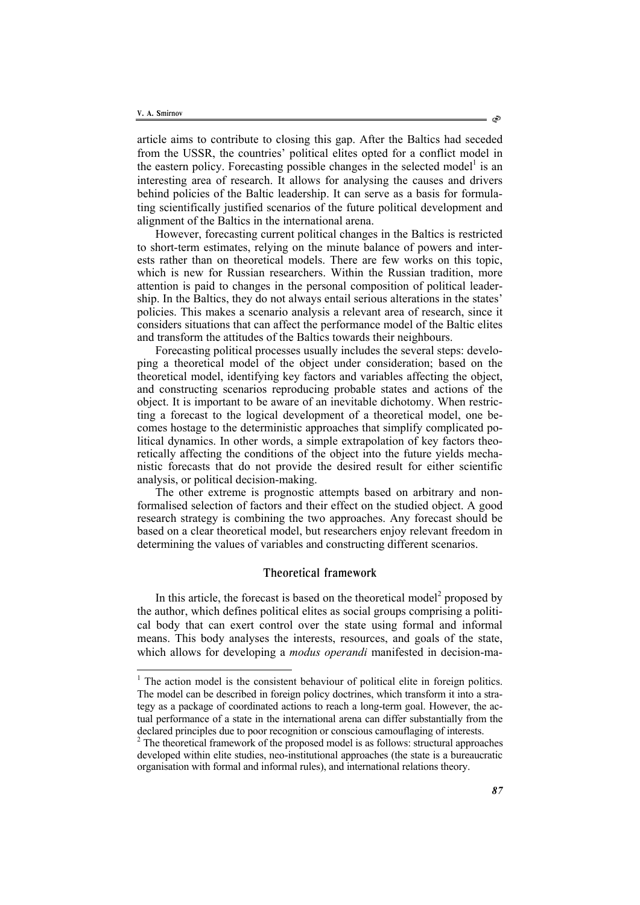l

article aims to contribute to closing this gap. After the Baltics had seceded from the USSR, the countries' political elites opted for a conflict model in the eastern policy. Forecasting possible changes in the selected model<sup>1</sup> is an interesting area of research. It allows for analysing the causes and drivers behind policies of the Baltic leadership. It can serve as a basis for formulating scientifically justified scenarios of the future political development and alignment of the Baltics in the international arena.

However, forecasting current political changes in the Baltics is restricted to short-term estimates, relying on the minute balance of powers and interests rather than on theoretical models. There are few works on this topic, which is new for Russian researchers. Within the Russian tradition, more attention is paid to changes in the personal composition of political leadership. In the Baltics, they do not always entail serious alterations in the states' policies. This makes a scenario analysis a relevant area of research, since it considers situations that can affect the performance model of the Baltic elites and transform the attitudes of the Baltics towards their neighbours.

Forecasting political processes usually includes the several steps: developing a theoretical model of the object under consideration; based on the theoretical model, identifying key factors and variables affecting the object, and constructing scenarios reproducing probable states and actions of the object. It is important to be aware of an inevitable dichotomy. When restricting a forecast to the logical development of a theoretical model, one becomes hostage to the deterministic approaches that simplify complicated political dynamics. In other words, a simple extrapolation of key factors theoretically affecting the conditions of the object into the future yields mechanistic forecasts that do not provide the desired result for either scientific analysis, or political decision-making.

The other extreme is prognostic attempts based on arbitrary and nonformalised selection of factors and their effect on the studied object. A good research strategy is combining the two approaches. Any forecast should be based on a clear theoretical model, but researchers enjoy relevant freedom in determining the values of variables and constructing different scenarios.

## Theoretical framework

In this article, the forecast is based on the theoretical model<sup>2</sup> proposed by the author, which defines political elites as social groups comprising a political body that can exert control over the state using formal and informal means. This body analyses the interests, resources, and goals of the state, which allows for developing a *modus operandi* manifested in decision-ma-

 $<sup>1</sup>$  The action model is the consistent behaviour of political elite in foreign politics.</sup> The model can be described in foreign policy doctrines, which transform it into a strategy as a package of coordinated actions to reach a long-term goal. However, the actual performance of a state in the international arena can differ substantially from the declared principles due to poor recognition or conscious camouflaging of interests.

 $2$ <sup>2</sup> The theoretical framework of the proposed model is as follows: structural approaches developed within elite studies, neo-institutional approaches (the state is a bureaucratic organisation with formal and informal rules), and international relations theory.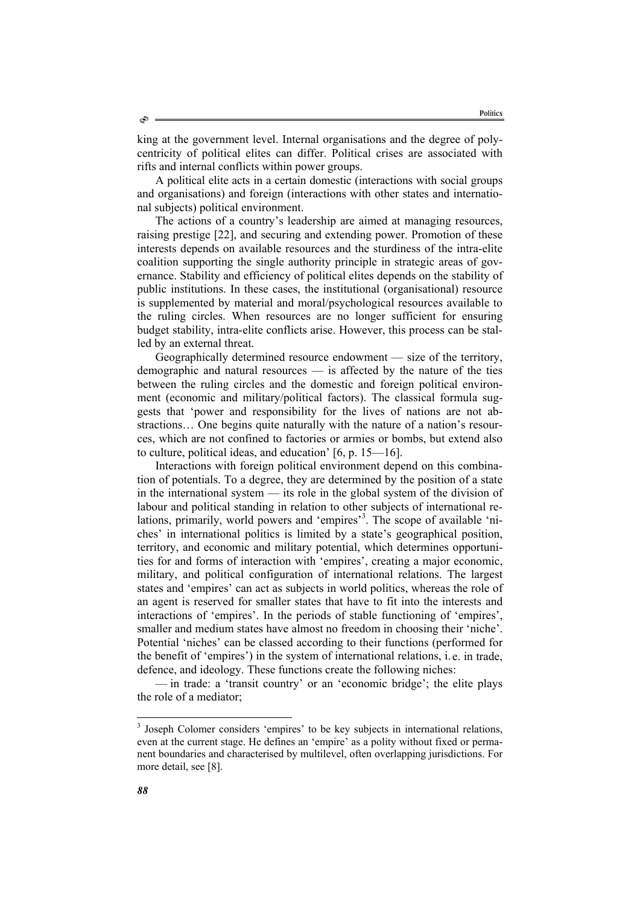king at the government level. Internal organisations and the degree of polycentricity of political elites can differ. Political crises are associated with rifts and internal conflicts within power groups.

A political elite acts in a certain domestic (interactions with social groups and organisations) and foreign (interactions with other states and international subjects) political environment.

The actions of a country's leadership are aimed at managing resources, raising prestige [22], and securing and extending power. Promotion of these interests depends on available resources and the sturdiness of the intra-elite coalition supporting the single authority principle in strategic areas of governance. Stability and efficiency of political elites depends on the stability of public institutions. In these cases, the institutional (organisational) resource is supplemented by material and moral/psychological resources available to the ruling circles. When resources are no longer sufficient for ensuring budget stability, intra-elite conflicts arise. However, this process can be stalled by an external threat.

Geographically determined resource endowment — size of the territory, demographic and natural resources — is affected by the nature of the ties between the ruling circles and the domestic and foreign political environment (economic and military/political factors). The classical formula suggests that 'power and responsibility for the lives of nations are not abstractions… One begins quite naturally with the nature of a nation's resources, which are not confined to factories or armies or bombs, but extend also to culture, political ideas, and education' [6, р. 15—16].

Interactions with foreign political environment depend on this combination of potentials. To a degree, they are determined by the position of a state in the international system — its role in the global system of the division of labour and political standing in relation to other subjects of international relations, primarily, world powers and 'empires'<sup>3</sup>. The scope of available 'niches' in international politics is limited by a state's geographical position, territory, and economic and military potential, which determines opportunities for and forms of interaction with 'empires', creating a major economic, military, and political configuration of international relations. The largest states and 'empires' can act as subjects in world politics, whereas the role of an agent is reserved for smaller states that have to fit into the interests and interactions of 'empires'. In the periods of stable functioning of 'empires', smaller and medium states have almost no freedom in choosing their 'niche'. Potential 'niches' can be classed according to their functions (performed for the benefit of 'empires') in the system of international relations, i. e. in trade, defence, and ideology. These functions create the following niches:

— in trade: a 'transit country' or an 'economic bridge'; the elite plays the role of a mediator;

<sup>&</sup>lt;sup>3</sup> Joseph Colomer considers 'empires' to be key subjects in international relations, even at the current stage. He defines an 'empire' as a polity without fixed or permanent boundaries and characterised by multilevel, often overlapping jurisdictions. For more detail, see [8].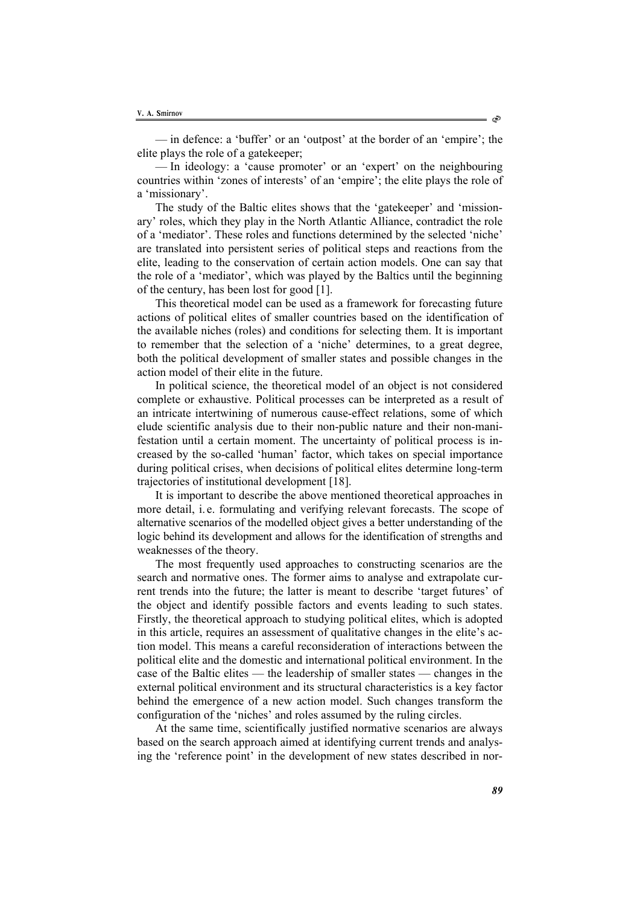— in defence: a 'buffer' or an 'outpost' at the border of an 'empire'; the elite plays the role of a gatekeeper;

— In ideology: a 'cause promoter' or an 'expert' on the neighbouring countries within 'zones of interests' of an 'empire'; the elite plays the role of a 'missionary'.

The study of the Baltic elites shows that the 'gatekeeper' and 'missionary' roles, which they play in the North Atlantic Alliance, contradict the role of a 'mediator'. These roles and functions determined by the selected 'niche' are translated into persistent series of political steps and reactions from the elite, leading to the conservation of certain action models. One can say that the role of a 'mediator', which was played by the Baltics until the beginning of the century, has been lost for good [1].

This theoretical model can be used as a framework for forecasting future actions of political elites of smaller countries based on the identification of the available niches (roles) and conditions for selecting them. It is important to remember that the selection of a 'niche' determines, to a great degree, both the political development of smaller states and possible changes in the action model of their elite in the future.

In political science, the theoretical model of an object is not considered complete or exhaustive. Political processes can be interpreted as a result of an intricate intertwining of numerous cause-effect relations, some of which elude scientific analysis due to their non-public nature and their non-manifestation until a certain moment. The uncertainty of political process is increased by the so-called 'human' factor, which takes on special importance during political crises, when decisions of political elites determine long-term trajectories of institutional development [18].

It is important to describe the above mentioned theoretical approaches in more detail, i. e. formulating and verifying relevant forecasts. The scope of alternative scenarios of the modelled object gives a better understanding of the logic behind its development and allows for the identification of strengths and weaknesses of the theory.

The most frequently used approaches to constructing scenarios are the search and normative ones. The former aims to analyse and extrapolate current trends into the future; the latter is meant to describe 'target futures' of the object and identify possible factors and events leading to such states. Firstly, the theoretical approach to studying political elites, which is adopted in this article, requires an assessment of qualitative changes in the elite's action model. This means a careful reconsideration of interactions between the political elite and the domestic and international political environment. In the case of the Baltic elites — the leadership of smaller states — changes in the external political environment and its structural characteristics is a key factor behind the emergence of a new action model. Such changes transform the configuration of the 'niches' and roles assumed by the ruling circles.

At the same time, scientifically justified normative scenarios are always based on the search approach aimed at identifying current trends and analysing the 'reference point' in the development of new states described in nor-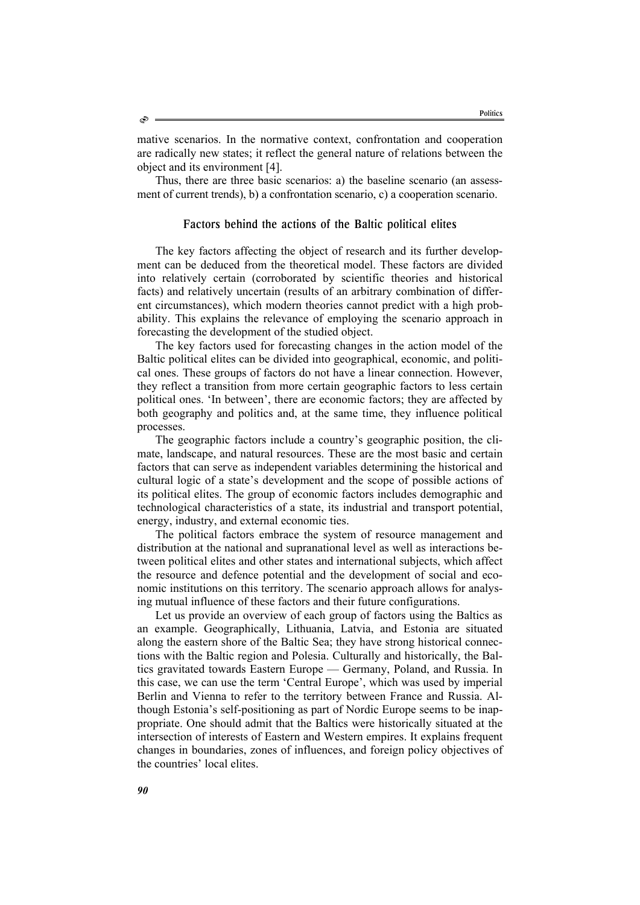mative scenarios. In the normative context, confrontation and cooperation are radically new states; it reflect the general nature of relations between the object and its environment [4].

Thus, there are three basic scenarios: a) the baseline scenario (an assessment of current trends), b) a confrontation scenario, c) a cooperation scenario.

## Factors behind the actions of the Baltic political elites

The key factors affecting the object of research and its further development can be deduced from the theoretical model. These factors are divided into relatively certain (corroborated by scientific theories and historical facts) and relatively uncertain (results of an arbitrary combination of different circumstances), which modern theories cannot predict with a high probability. This explains the relevance of employing the scenario approach in forecasting the development of the studied object.

The key factors used for forecasting changes in the action model of the Baltic political elites can be divided into geographical, economic, and political ones. These groups of factors do not have a linear connection. However, they reflect a transition from more certain geographic factors to less certain political ones. 'In between', there are economic factors; they are affected by both geography and politics and, at the same time, they influence political processes.

The geographic factors include a country's geographic position, the climate, landscape, and natural resources. These are the most basic and certain factors that can serve as independent variables determining the historical and cultural logic of a state's development and the scope of possible actions of its political elites. The group of economic factors includes demographic and technological characteristics of a state, its industrial and transport potential, energy, industry, and external economic ties.

The political factors embrace the system of resource management and distribution at the national and supranational level as well as interactions between political elites and other states and international subjects, which affect the resource and defence potential and the development of social and economic institutions on this territory. The scenario approach allows for analysing mutual influence of these factors and their future configurations.

Let us provide an overview of each group of factors using the Baltics as an example. Geographically, Lithuania, Latvia, and Estonia are situated along the eastern shore of the Baltic Sea; they have strong historical connections with the Baltic region and Polesia. Culturally and historically, the Baltics gravitated towards Eastern Europe — Germany, Poland, and Russia. In this case, we can use the term 'Central Europe', which was used by imperial Berlin and Vienna to refer to the territory between France and Russia. Although Estonia's self-positioning as part of Nordic Europe seems to be inappropriate. One should admit that the Baltics were historically situated at the intersection of interests of Eastern and Western empires. It explains frequent changes in boundaries, zones of influences, and foreign policy objectives of the countries' local elites.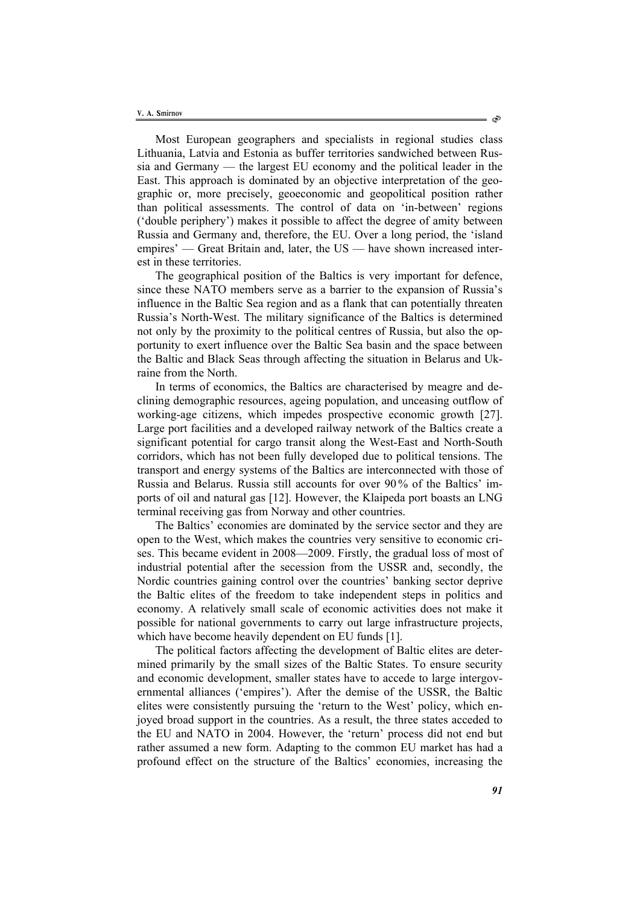Most European geographers and specialists in regional studies class Lithuania, Latvia and Estonia as buffer territories sandwiched between Russia and Germany — the largest EU economy and the political leader in the East. This approach is dominated by an objective interpretation of the geographic or, more precisely, geoeconomic and geopolitical position rather than political assessments. The control of data on 'in-between' regions ('double periphery') makes it possible to affect the degree of amity between Russia and Germany and, therefore, the EU. Over a long period, the 'island empires' — Great Britain and, later, the US — have shown increased interest in these territories.

The geographical position of the Baltics is very important for defence, since these NATO members serve as a barrier to the expansion of Russia's influence in the Baltic Sea region and as a flank that can potentially threaten Russia's North-West. The military significance of the Baltics is determined not only by the proximity to the political centres of Russia, but also the opportunity to exert influence over the Baltic Sea basin and the space between the Baltic and Black Seas through affecting the situation in Belarus and Ukraine from the North.

In terms of economics, the Baltics are characterised by meagre and declining demographic resources, ageing population, and unceasing outflow of working-age citizens, which impedes prospective economic growth [27]. Large port facilities and a developed railway network of the Baltics create a significant potential for cargo transit along the West-East and North-South corridors, which has not been fully developed due to political tensions. The transport and energy systems of the Baltics are interconnected with those of Russia and Belarus. Russia still accounts for over 90 % of the Baltics' imports of oil and natural gas [12]. However, the Klaipeda port boasts an LNG terminal receiving gas from Norway and other countries.

The Baltics' economies are dominated by the service sector and they are open to the West, which makes the countries very sensitive to economic crises. This became evident in 2008—2009. Firstly, the gradual loss of most of industrial potential after the secession from the USSR and, secondly, the Nordic countries gaining control over the countries' banking sector deprive the Baltic elites of the freedom to take independent steps in politics and economy. A relatively small scale of economic activities does not make it possible for national governments to carry out large infrastructure projects, which have become heavily dependent on EU funds [1].

The political factors affecting the development of Baltic elites are determined primarily by the small sizes of the Baltic States. To ensure security and economic development, smaller states have to accede to large intergovernmental alliances ('empires'). After the demise of the USSR, the Baltic elites were consistently pursuing the 'return to the West' policy, which enjoyed broad support in the countries. As a result, the three states acceded to the EU and NATO in 2004. However, the 'return' process did not end but rather assumed a new form. Adapting to the common EU market has had a profound effect on the structure of the Baltics' economies, increasing the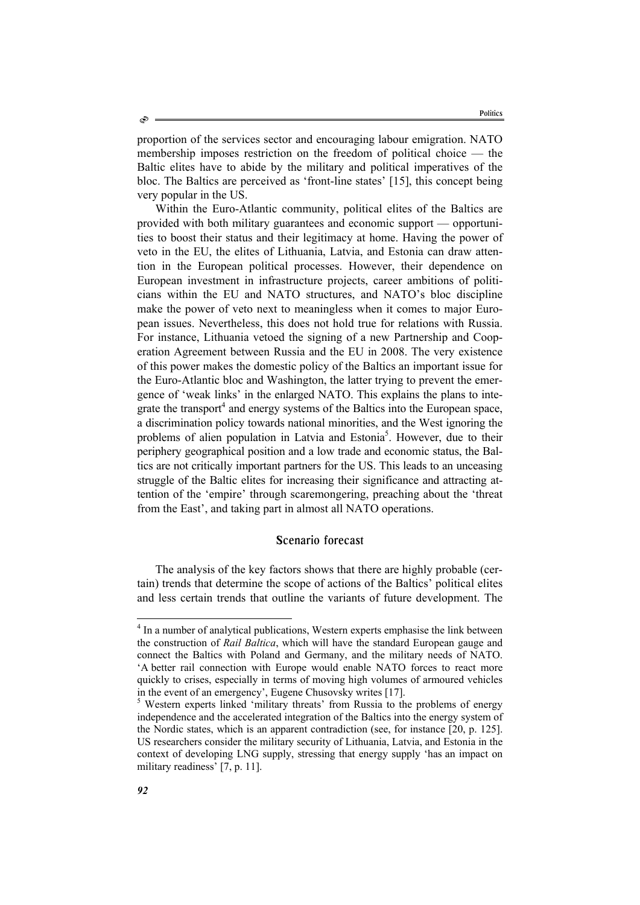proportion of the services sector and encouraging labour emigration. NATO membership imposes restriction on the freedom of political choice — the Baltic elites have to abide by the military and political imperatives of the bloc. The Baltics are perceived as 'front-line states' [15], this concept being very popular in the US.

Within the Euro-Atlantic community, political elites of the Baltics are provided with both military guarantees and economic support — opportunities to boost their status and their legitimacy at home. Having the power of veto in the EU, the elites of Lithuania, Latvia, and Estonia can draw attention in the European political processes. However, their dependence on European investment in infrastructure projects, career ambitions of politicians within the EU and NATO structures, and NATO's bloc discipline make the power of veto next to meaningless when it comes to major European issues. Nevertheless, this does not hold true for relations with Russia. For instance, Lithuania vetoed the signing of a new Partnership and Cooperation Agreement between Russia and the EU in 2008. The very existence of this power makes the domestic policy of the Baltics an important issue for the Euro-Atlantic bloc and Washington, the latter trying to prevent the emergence of 'weak links' in the enlarged NATO. This explains the plans to integrate the transport<sup>4</sup> and energy systems of the Baltics into the European space, a discrimination policy towards national minorities, and the West ignoring the problems of alien population in Latvia and Estonia<sup>5</sup>. However, due to their periphery geographical position and a low trade and economic status, the Baltics are not critically important partners for the US. This leads to an unceasing struggle of the Baltic elites for increasing their significance and attracting attention of the 'empire' through scaremongering, preaching about the 'threat from the East', and taking part in almost all NATO operations.

# Scenario forecast

The analysis of the key factors shows that there are highly probable (certain) trends that determine the scope of actions of the Baltics' political elites and less certain trends that outline the variants of future development. The

 $\overline{a}$ 

<sup>&</sup>lt;sup>4</sup> In a number of analytical publications, Western experts emphasise the link between the construction of *Rail Baltica*, which will have the standard European gauge and connect the Baltics with Poland and Germany, and the military needs of NATO. 'A better rail connection with Europe would enable NATO forces to react more quickly to crises, especially in terms of moving high volumes of armoured vehicles in the event of an emergency', Eugene Chusovsky writes [17].

<sup>&</sup>lt;sup>5</sup> Western experts linked 'military threats' from Russia to the problems of energy independence and the accelerated integration of the Baltics into the energy system of the Nordic states, which is an apparent contradiction (see, for instance [20, p. 125]. US researchers consider the military security of Lithuania, Latvia, and Estonia in the context of developing LNG supply, stressing that energy supply 'has an impact on military readiness' [7, p. 11].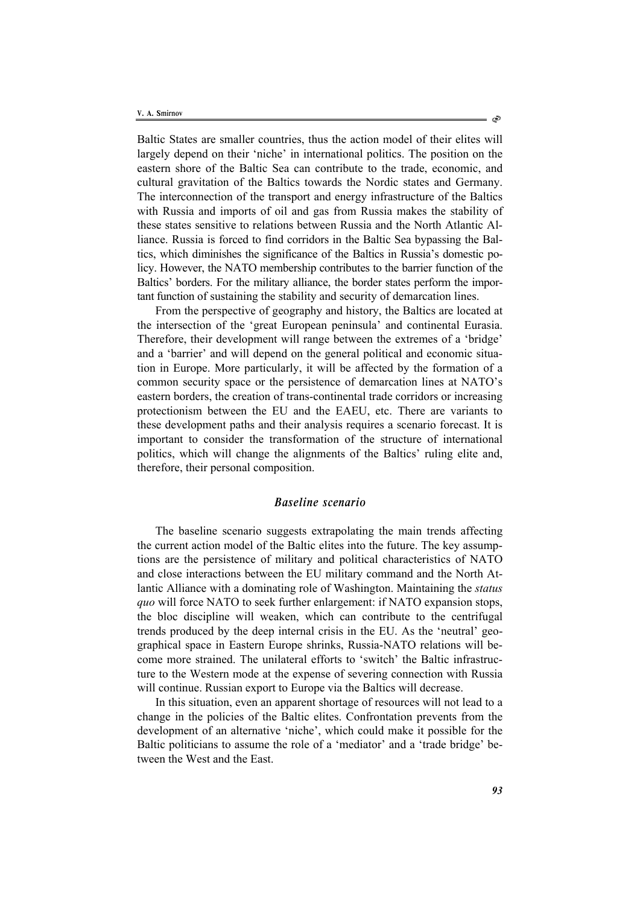Baltic States are smaller countries, thus the action model of their elites will largely depend on their 'niche' in international politics. The position on the eastern shore of the Baltic Sea can contribute to the trade, economic, and cultural gravitation of the Baltics towards the Nordic states and Germany. The interconnection of the transport and energy infrastructure of the Baltics with Russia and imports of oil and gas from Russia makes the stability of these states sensitive to relations between Russia and the North Atlantic Alliance. Russia is forced to find corridors in the Baltic Sea bypassing the Baltics, which diminishes the significance of the Baltics in Russia's domestic policy. However, the NATO membership contributes to the barrier function of the Baltics' borders. For the military alliance, the border states perform the important function of sustaining the stability and security of demarcation lines.

From the perspective of geography and history, the Baltics are located at the intersection of the 'great European peninsula' and continental Eurasia. Therefore, their development will range between the extremes of a 'bridge' and a 'barrier' and will depend on the general political and economic situation in Europe. More particularly, it will be affected by the formation of a common security space or the persistence of demarcation lines at NATO's eastern borders, the creation of trans-continental trade corridors or increasing protectionism between the EU and the EAEU, etc. There are variants to these development paths and their analysis requires a scenario forecast. It is important to consider the transformation of the structure of international politics, which will change the alignments of the Baltics' ruling elite and, therefore, their personal composition.

# *Baseline scenario*

The baseline scenario suggests extrapolating the main trends affecting the current action model of the Baltic elites into the future. The key assumptions are the persistence of military and political characteristics of NATO and close interactions between the EU military command and the North Atlantic Alliance with a dominating role of Washington. Maintaining the *status quo* will force NATO to seek further enlargement: if NATO expansion stops, the bloc discipline will weaken, which can contribute to the centrifugal trends produced by the deep internal crisis in the EU. As the 'neutral' geographical space in Eastern Europe shrinks, Russia-NATO relations will become more strained. The unilateral efforts to 'switch' the Baltic infrastructure to the Western mode at the expense of severing connection with Russia will continue. Russian export to Europe via the Baltics will decrease.

In this situation, even an apparent shortage of resources will not lead to a change in the policies of the Baltic elites. Confrontation prevents from the development of an alternative 'niche', which could make it possible for the Baltic politicians to assume the role of a 'mediator' and a 'trade bridge' between the West and the East.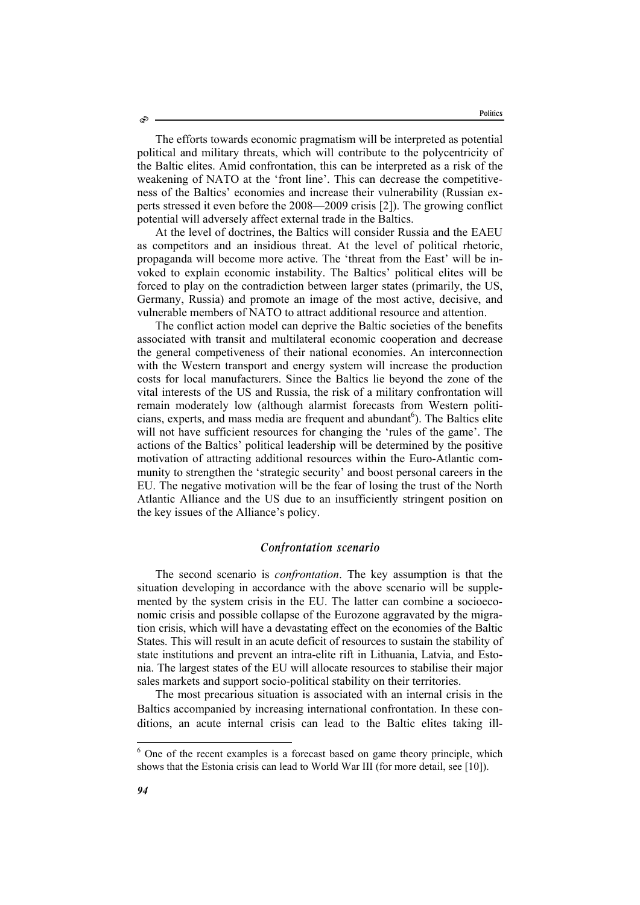The efforts towards economic pragmatism will be interpreted as potential political and military threats, which will contribute to the polycentricity of the Baltic elites. Amid confrontation, this can be interpreted as a risk of the weakening of NATO at the 'front line'. This can decrease the competitiveness of the Baltics' economies and increase their vulnerability (Russian experts stressed it even before the 2008—2009 crisis [2]). The growing conflict potential will adversely affect external trade in the Baltics.

At the level of doctrines, the Baltics will consider Russia and the EAEU as competitors and an insidious threat. At the level of political rhetoric, propaganda will become more active. The 'threat from the East' will be invoked to explain economic instability. The Baltics' political elites will be forced to play on the contradiction between larger states (primarily, the US, Germany, Russia) and promote an image of the most active, decisive, and vulnerable members of NATO to attract additional resource and attention.

The conflict action model can deprive the Baltic societies of the benefits associated with transit and multilateral economic cooperation and decrease the general competiveness of their national economies. An interconnection with the Western transport and energy system will increase the production costs for local manufacturers. Since the Baltics lie beyond the zone of the vital interests of the US and Russia, the risk of a military confrontation will remain moderately low (although alarmist forecasts from Western politicians, experts, and mass media are frequent and abundant<sup>6</sup>). The Baltics elite will not have sufficient resources for changing the 'rules of the game'. The actions of the Baltics' political leadership will be determined by the positive motivation of attracting additional resources within the Euro-Atlantic community to strengthen the 'strategic security' and boost personal careers in the EU. The negative motivation will be the fear of losing the trust of the North Atlantic Alliance and the US due to an insufficiently stringent position on the key issues of the Alliance's policy.

## *Confrontation scenario*

The second scenario is *confrontation*. The key assumption is that the situation developing in accordance with the above scenario will be supplemented by the system crisis in the EU. The latter can combine a socioeconomic crisis and possible collapse of the Eurozone aggravated by the migration crisis, which will have a devastating effect on the economies of the Baltic States. This will result in an acute deficit of resources to sustain the stability of state institutions and prevent an intra-elite rift in Lithuania, Latvia, and Estonia. The largest states of the EU will allocate resources to stabilise their major sales markets and support socio-political stability on their territories.

The most precarious situation is associated with an internal crisis in the Baltics accompanied by increasing international confrontation. In these conditions, an acute internal crisis can lead to the Baltic elites taking ill-

l

<sup>&</sup>lt;sup>6</sup> One of the recent examples is a forecast based on game theory principle, which shows that the Estonia crisis can lead to World War III (for more detail, see [10]).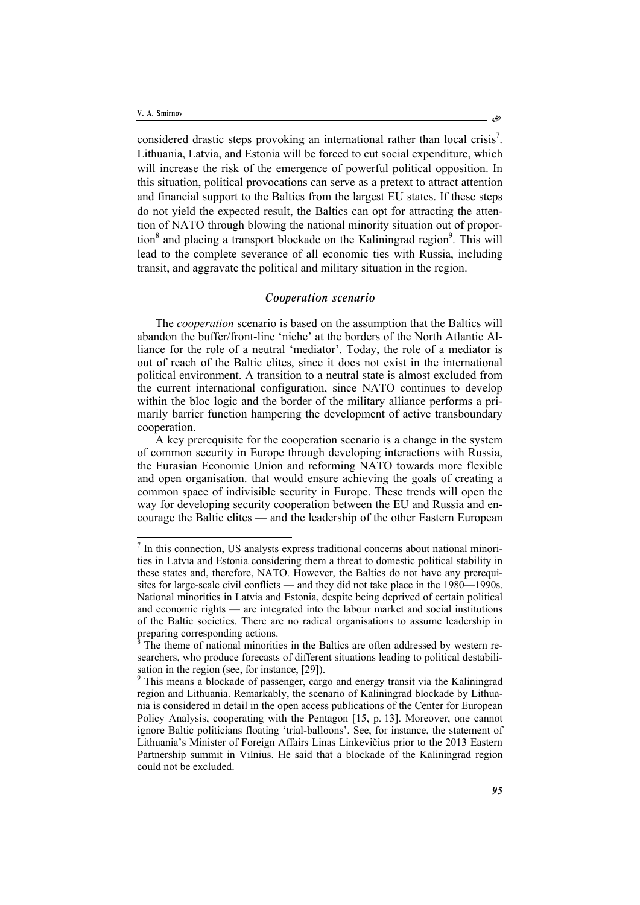$\overline{a}$ 

considered drastic steps provoking an international rather than local crisis<sup>7</sup>. Lithuania, Latvia, and Estonia will be forced to cut social expenditure, which will increase the risk of the emergence of powerful political opposition. In this situation, political provocations can serve as a pretext to attract attention and financial support to the Baltics from the largest EU states. If these steps do not yield the expected result, the Baltics can opt for attracting the attention of NATO through blowing the national minority situation out of proportion<sup>8</sup> and placing a transport blockade on the Kaliningrad region<sup>9</sup>. This will lead to the complete severance of all economic ties with Russia, including transit, and aggravate the political and military situation in the region.

#### *Cooperation scenario*

The *cooperation* scenario is based on the assumption that the Baltics will abandon the buffer/front-line 'niche' at the borders of the North Atlantic Alliance for the role of a neutral 'mediator'. Today, the role of a mediator is out of reach of the Baltic elites, since it does not exist in the international political environment. A transition to a neutral state is almost excluded from the current international configuration, since NATO continues to develop within the bloc logic and the border of the military alliance performs a primarily barrier function hampering the development of active transboundary cooperation.

A key prerequisite for the cooperation scenario is a change in the system of common security in Europe through developing interactions with Russia, the Eurasian Economic Union and reforming NATO towards more flexible and open organisation. that would ensure achieving the goals of creating a common space of indivisible security in Europe. These trends will open the way for developing security cooperation between the EU and Russia and encourage the Baltic elites — and the leadership of the other Eastern European

<sup>&</sup>lt;sup>7</sup> In this connection, US analysts express traditional concerns about national minorities in Latvia and Estonia considering them a threat to domestic political stability in these states and, therefore, NATO. However, the Baltics do not have any prerequisites for large-scale civil conflicts — and they did not take place in the 1980—1990s. National minorities in Latvia and Estonia, despite being deprived of certain political and economic rights — are integrated into the labour market and social institutions of the Baltic societies. There are no radical organisations to assume leadership in preparing corresponding actions.

<sup>8</sup> The theme of national minorities in the Baltics are often addressed by western researchers, who produce forecasts of different situations leading to political destabilisation in the region (see, for instance, [29]).

<sup>&</sup>lt;sup>9</sup> This means a blockade of passenger, cargo and energy transit via the Kaliningrad region and Lithuania. Remarkably, the scenario of Kaliningrad blockade by Lithuania is considered in detail in the open access publications of the Center for European Policy Analysis, cooperating with the Pentagon [15, p. 13]. Moreover, one cannot ignore Baltic politicians floating 'trial-balloons'. See, for instance, the statement of Lithuania's Minister of Foreign Affairs Linas Linkevičius prior to the 2013 Eastern Partnership summit in Vilnius. He said that a blockade of the Kaliningrad region could not be excluded.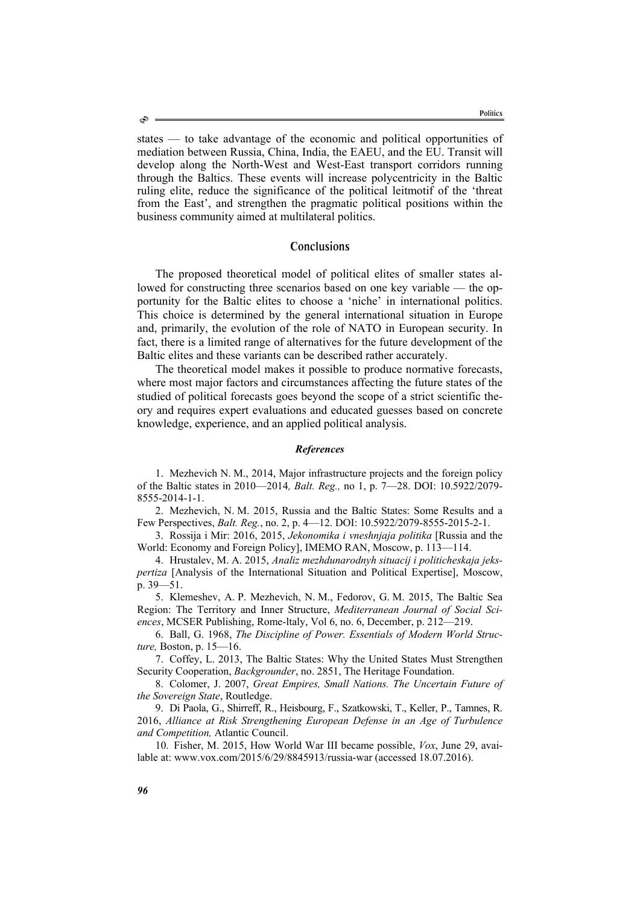states — to take advantage of the economic and political opportunities of mediation between Russia, China, India, the EAEU, and the EU. Transit will develop along the North-West and West-East transport corridors running through the Baltics. These events will increase polycentricity in the Baltic ruling elite, reduce the significance of the political leitmotif of the 'threat from the East', and strengthen the pragmatic political positions within the business community aimed at multilateral politics.

#### **Conclusions**

The proposed theoretical model of political elites of smaller states allowed for constructing three scenarios based on one key variable — the opportunity for the Baltic elites to choose a 'niche' in international politics. This choice is determined by the general international situation in Europe and, primarily, the evolution of the role of NATO in European security. In fact, there is a limited range of alternatives for the future development of the Baltic elites and these variants can be described rather accurately.

The theoretical model makes it possible to produce normative forecasts, where most major factors and circumstances affecting the future states of the studied of political forecasts goes beyond the scope of a strict scientific theory and requires expert evaluations and educated guesses based on concrete knowledge, experience, and an applied political analysis.

#### *References*

1. Mezhevich N. M., 2014, Major infrastructure projects and the foreign policy of the Baltic states in 2010—2014*, Balt. Reg.,* no 1, p. 7—28. DOI: 10.5922/2079- 8555-2014-1-1.

2. Mezhevich, N. M. 2015, Russia and the Baltic States: Some Results and a Few Perspectives, *Balt. Reg.*, no. 2, p. 4—12. DOI: 10.5922/2079-8555-2015-2-1.

3. Rossija i Mir: 2016, 2015, *Jekonomika i vneshnjaja politika* [Russia and the World: Economy and Foreign Policy], IMEMO RAN, Moscow, p. 113—114.

4. Hrustalev, M. A. 2015, *Analiz mezhdunarodnyh situacij i politicheskaja jekspertiza* [Analysis of the International Situation and Political Expertise], Moscow, p. 39—51.

5. Klemeshev, A. P. Mezhevich, N. M., Fedorov, G. M. 2015, The Baltic Sea Region: The Territory and Inner Structure, *Mediterranean Journal of Social Sciences*, MCSER Publishing, Rome-ltaly, Vol 6, no. 6, December, p. 212—219.

6. Ball, G. 1968, *The Discipline of Power. Essentials of Modern World Structure,* Boston, p. 15—16.

7. Coffey, L. 2013, The Baltic States: Why the United States Must Strengthen Security Cooperation, *Backgrounder*, no. 2851, The Heritage Foundation.

8. Colomer, J. 2007, *Great Empires, Small Nations. The Uncertain Future of the Sovereign State*, Routledge.

9. Di Paola, G., Shirreff, R., Heisbourg, F., Szatkowski, T., Keller, P., Tamnes, R. 2016, *Alliance at Risk Strengthening European Defense in an Age of Turbulence and Competition,* Atlantic Council.

10. Fisher, M. 2015, How World War III became possible, *Vox*, June 29, available at: www.vox.com/2015/6/29/8845913/russia-war (accessed 18.07.2016).